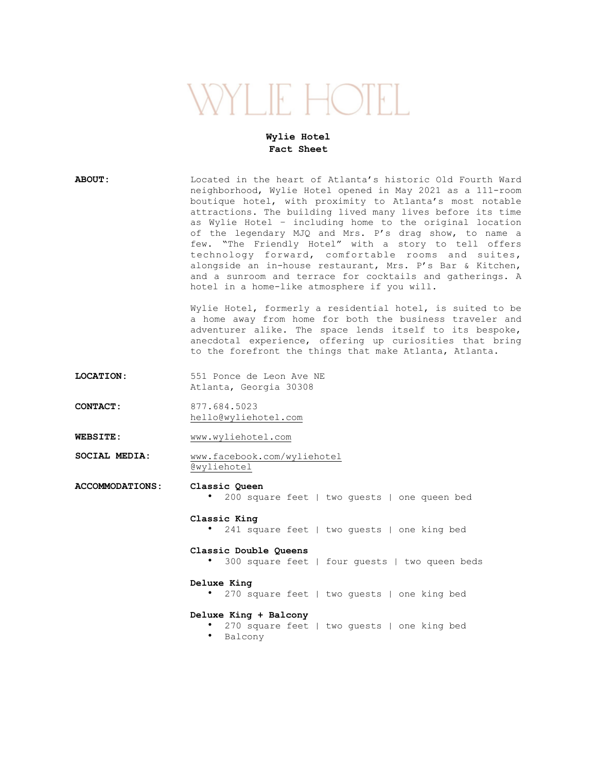# WYLIE HOTEL

# **Wylie Hotel Fact Sheet**

**ABOUT:** Located in the heart of Atlanta's historic Old Fourth Ward neighborhood, Wylie Hotel opened in May 2021 as a 111-room boutique hotel, with proximity to Atlanta's most notable attractions. The building lived many lives before its time as Wylie Hotel – including home to the original location of the legendary MJQ and Mrs. P's drag show, to name a few. "The Friendly Hotel" with a story to tell offers technology forward, comfortable rooms and suites, alongside an in-house restaurant, Mrs. P's Bar & Kitchen, and a sunroom and terrace for cocktails and gatherings. A hotel in a home-like atmosphere if you will.

> Wylie Hotel, formerly a residential hotel, is suited to be a home away from home for both the business traveler and adventurer alike. The space lends itself to its bespoke, anecdotal experience, offering up curiosities that bring to the forefront the things that make Atlanta, Atlanta.

- **LOCATION:** 551 Ponce de Leon Ave NE Atlanta, Georgia 30308
- **CONTACT:** 877.684.5023 [hello@wyliehotel.com](mailto:hello@wyliehotel.com)
- **WEBSITE:** [www.wyliehotel.com](http://www.wyliehotel.com)

**SOCIAL MEDIA:** [www.facebook.com/wyliehotel](http://www.facebook.com/wyliehotel)  [@wyliehotel](http://www.instagram.com/wyliehotel)

- **ACCOMMODATIONS: Classic Queen** • 200 square feet | two guests | one queen bed
	- **Classic King**
		- 241 square feet | two guests | one king bed
	- **Classic Double Queens** • 300 square feet | four guests | two queen beds

### **Deluxe King**

• 270 square feet | two guests | one king bed

#### **Deluxe King + Balcony**

- 270 square feet | two guests | one king bed
- Balcony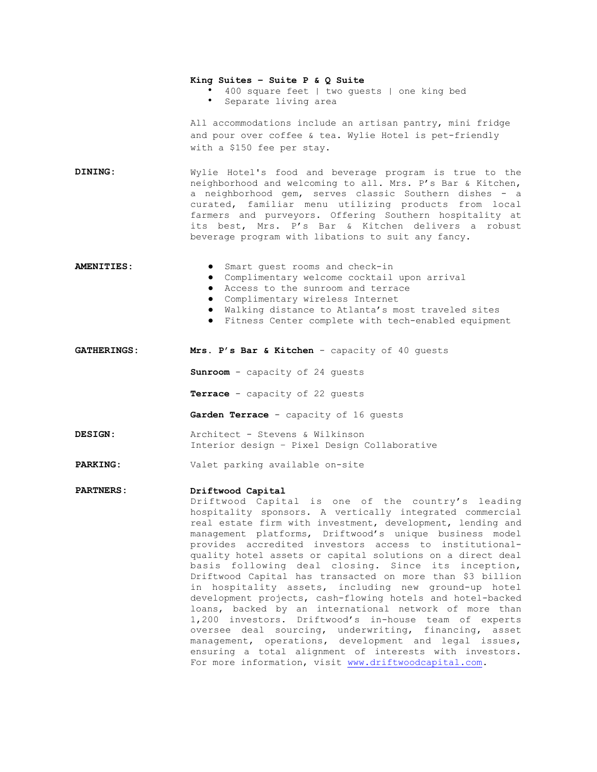#### **King Suites – Suite P & Q Suite**

- 400 square feet | two guests | one king bed
- Separate living area

All accommodations include an artisan pantry, mini fridge and pour over coffee & tea. Wylie Hotel is pet-friendly with a \$150 fee per stay.

**DINING:** Wylie Hotel's food and beverage program is true to the neighborhood and welcoming to all. Mrs. P's Bar & Kitchen, a neighborhood gem, serves classic Southern dishes - a curated, familiar menu utilizing products from local farmers and purveyors. Offering Southern hospitality at its best, Mrs. P's Bar & Kitchen delivers a robust beverage program with libations to suit any fancy.

- **AMENITIES:** Smart guest rooms and check-in
	- Complimentary welcome cocktail upon arrival
	- Access to the sunroom and terrace
	- Complimentary wireless Internet
	- Walking distance to Atlanta's most traveled sites
	- Fitness Center complete with tech-enabled equipment
- **GATHERINGS: Mrs. P's Bar & Kitchen**  capacity of 40 guests

**Sunroom** - capacity of 24 guests

**Terrace** - capacity of 22 guests

**Garden Terrace** - capacity of 16 guests

- **DESIGN:** Architect Stevens & Wilkinson Interior design – Pixel Design Collaborative
- **PARKING:** Valet parking available on-site

### **PARTNERS: Driftwood Capital**

Driftwood Capital is one of the country's leading hospitality sponsors. A vertically integrated commercial real estate firm with investment, development, lending and management platforms, Driftwood's unique business model provides accredited investors access to institutionalquality hotel assets or capital solutions on a direct deal basis following deal closing. Since its inception, Driftwood Capital has transacted on more than \$3 billion in hospitality assets, including new ground-up hotel development projects, cash-flowing hotels and hotel-backed loans, backed by an international network of more than 1,200 investors. Driftwood's in-house team of experts oversee deal sourcing, underwriting, financing, asset management, operations, development and legal issues, ensuring a total alignment of interests with investors. For more information, visit [www.driftwoodcapital.com.](http://www.driftwoodcapital.com)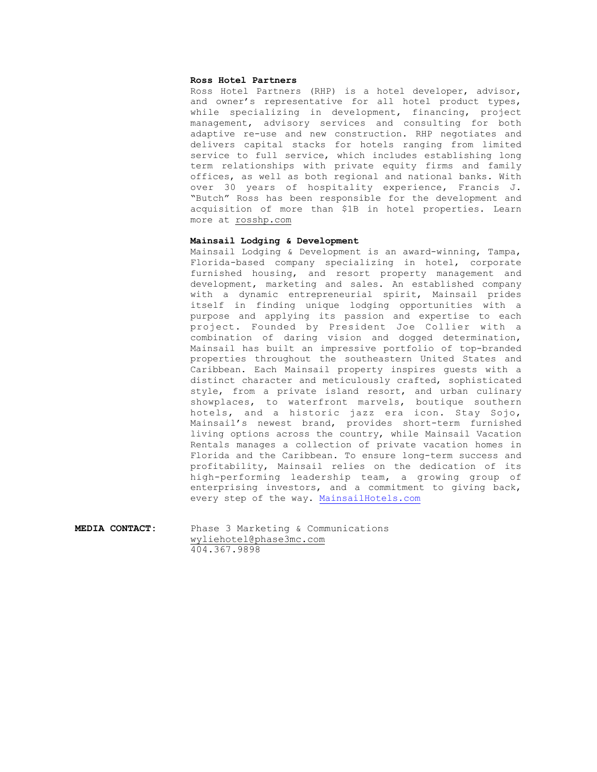#### **Ross Hotel Partners**

Ross Hotel Partners (RHP) is a hotel developer, advisor, and owner's representative for all hotel product types, while specializing in development, financing, project management, advisory services and consulting for both adaptive re-use and new construction. RHP negotiates and delivers capital stacks for hotels ranging from limited service to full service, which includes establishing long term relationships with private equity firms and family offices, as well as both regional and national banks. With over 30 years of hospitality experience, Francis J. "Butch" Ross has been responsible for the development and acquisition of more than \$1B in hotel properties. Learn more at [rosshp.com](https://www.rosshp.com/)

# **Mainsail Lodging & Development**

Mainsail Lodging & Development is an award-winning, Tampa, Florida-based company specializing in hotel, corporate furnished housing, and resort property management and development, marketing and sales. An established company with a dynamic entrepreneurial spirit, Mainsail prides itself in finding unique lodging opportunities with a purpose and applying its passion and expertise to each project. Founded by President Joe Collier with a combination of daring vision and dogged determination, Mainsail has built an impressive portfolio of top-branded properties throughout the southeastern United States and Caribbean. Each Mainsail property inspires guests with a distinct character and meticulously crafted, sophisticated style, from a private island resort, and urban culinary showplaces, to waterfront marvels, boutique southern hotels, and a historic jazz era icon. Stay Sojo, Mainsail's newest brand, provides short-term furnished living options across the country, while Mainsail Vacation Rentals manages a collection of private vacation homes in Florida and the Caribbean. To ensure long-term success and profitability, Mainsail relies on the dedication of its high-performing leadership team, a growing group of enterprising investors, and a commitment to giving back, every step of the way. [MainsailHotels.com](https://www.mainsailhotels.com/)

**MEDIA CONTACT:** Phase 3 Marketing & Communications [wyliehotel@phase3mc.com](mailto:wyliehotel@phase3mc.com) 404.367.9898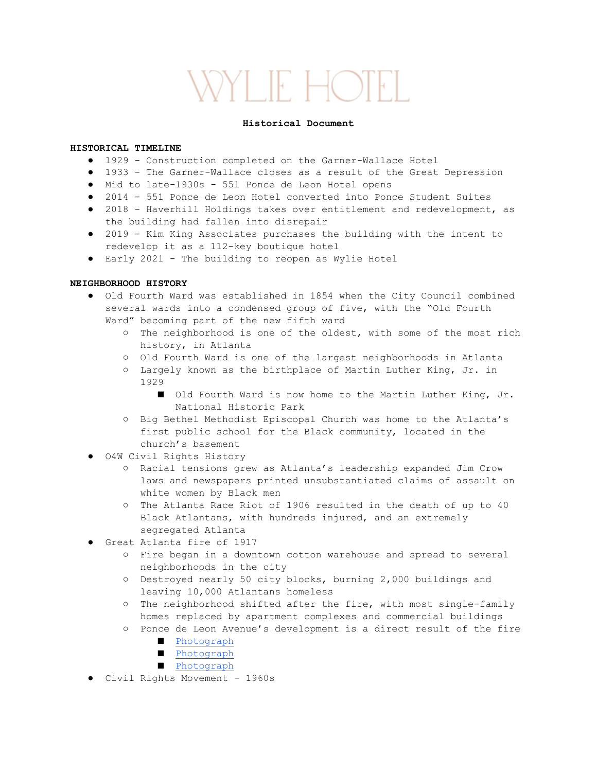# WYLIE HOTEL

### **Historical Document**

#### **HISTORICAL TIMELINE**

- 1929 Construction completed on the Garner-Wallace Hotel
- 1933 The Garner-Wallace closes as a result of the Great Depression
- Mid to late-1930s 551 Ponce de Leon Hotel opens
- 2014 551 Ponce de Leon Hotel converted into Ponce Student Suites
- 2018 Haverhill Holdings takes over entitlement and redevelopment, as the building had fallen into disrepair
- 2019 Kim King Associates purchases the building with the intent to redevelop it as a 112-key boutique hotel
- Early 2021 The building to reopen as Wylie Hotel

# **NEIGHBORHOOD HISTORY**

- Old Fourth Ward was established in 1854 when the City Council combined several wards into a condensed group of five, with the "Old Fourth Ward" becoming part of the new fifth ward
	- o The neighborhood is one of the oldest, with some of the most rich history, in Atlanta
	- Old Fourth Ward is one of the largest neighborhoods in Atlanta
	- Largely known as the birthplace of Martin Luther King, Jr. in 1929
		- Old Fourth Ward is now home to the Martin Luther King, Jr. National Historic Park
	- Big Bethel Methodist Episcopal Church was home to the Atlanta's first public school for the Black community, located in the church's basement
- O4W Civil Rights History
	- Racial tensions grew as Atlanta's leadership expanded Jim Crow laws and newspapers printed unsubstantiated claims of assault on white women by Black men
	- The Atlanta Race Riot of 1906 resulted in the death of up to 40 Black Atlantans, with hundreds injured, and an extremely segregated Atlanta
- Great Atlanta fire of 1917
	- Fire began in a downtown cotton warehouse and spread to several neighborhoods in the city
	- Destroyed nearly 50 city blocks, burning 2,000 buildings and leaving 10,000 Atlantans homeless
	- The neighborhood shifted after the fire, with most single-family homes replaced by apartment complexes and commercial buildings
	- Ponce de Leon Avenue's development is a direct result of the fire
		- [Photograph](https://album.atlantahistorycenter.com/digital/collection/davenport/id/8)
		- [Photograph](https://album.atlantahistorycenter.com/digital/collection/athpc/id/1298)
		- [Photograph](https://album.atlantahistorycenter.com/digital/collection/CamFire/id/18)
- Civil Rights Movement 1960s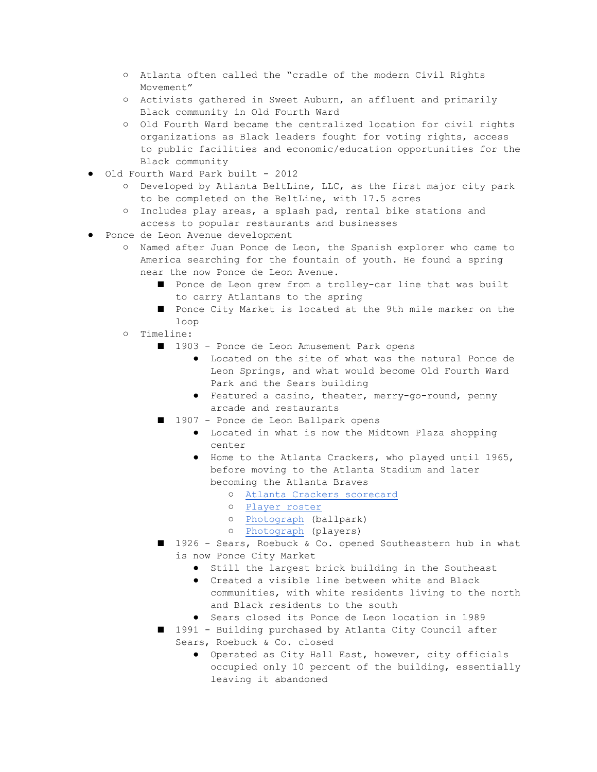- Atlanta often called the "cradle of the modern Civil Rights Movement"
- Activists gathered in Sweet Auburn, an affluent and primarily Black community in Old Fourth Ward
- Old Fourth Ward became the centralized location for civil rights organizations as Black leaders fought for voting rights, access to public facilities and economic/education opportunities for the Black community
- Old Fourth Ward Park built 2012
	- Developed by Atlanta BeltLine, LLC, as the first major city park to be completed on the BeltLine, with 17.5 acres
	- Includes play areas, a splash pad, rental bike stations and access to popular restaurants and businesses
- Ponce de Leon Avenue development
	- Named after Juan Ponce de Leon, the Spanish explorer who came to America searching for the fountain of youth. He found a spring near the now Ponce de Leon Avenue.
		- Ponce de Leon grew from a trolley-car line that was built to carry Atlantans to the spring
		- Ponce City Market is located at the 9th mile marker on the loop
	- Timeline:
		- 1903 Ponce de Leon Amusement Park opens
			- Located on the site of what was the natural Ponce de Leon Springs, and what would become Old Fourth Ward Park and the Sears building
			- Featured a casino, theater, merry-go-round, penny arcade and restaurants
		- 1907 Ponce de Leon Ballpark opens
			- Located in what is now the Midtown Plaza shopping center
			- Home to the Atlanta Crackers, who played until 1965, before moving to the Atlanta Stadium and later becoming the Atlanta Braves
				- [Atlanta Crackers scorecard](https://funwhileitlasted.net/wp-content/uploads/2012/06/52atlcra.png)
				- [Player roster](https://album.atlantahistorycenter.com/digital/collection/PhoJourn)
				- [Photograph](https://www.georgiaencyclopedia.org/articles/sports-outdoor-recreation/ponce-de-leon-ballpark) (ballpark)
				- [Photograph](https://www.georgiaencyclopedia.org/file/6532) (players)
		- 1926 Sears, Roebuck & Co. opened Southeastern hub in what is now Ponce City Market
			- Still the largest brick building in the Southeast
			- Created a visible line between white and Black communities, with white residents living to the north and Black residents to the south
			- Sears closed its Ponce de Leon location in 1989
		- 1991 Building purchased by Atlanta City Council after Sears, Roebuck & Co. closed
			- Operated as City Hall East, however, city officials occupied only 10 percent of the building, essentially leaving it abandoned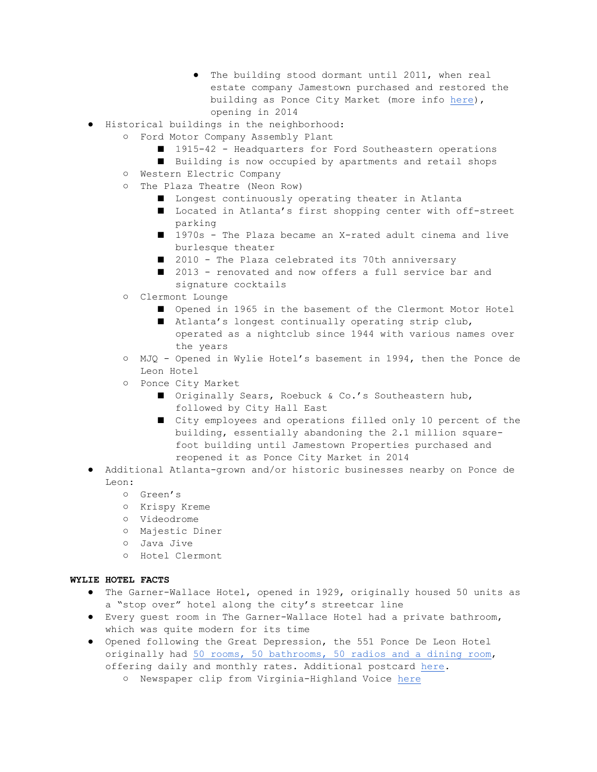- The building stood dormant until 2011, when real estate company Jamestown purchased and restored the building as Ponce City Market (more info [here](https://bittersoutherner.com/sponsored/ponce-city-market/a-neighborhood-treasure-reborn#:~:text=Despite%2520Rosenwald)), opening in 2014
- Historical buildings in the neighborhood:
	- Ford Motor Company Assembly Plant
		- 1915-42 Headquarters for Ford Southeastern operations
		- Building is now occupied by apartments and retail shops
	- Western Electric Company
	- The Plaza Theatre (Neon Row)
		- Longest continuously operating theater in Atlanta
		- Located in Atlanta's first shopping center with off-street parking
		- 1970s The Plaza became an X-rated adult cinema and live burlesque theater
		- 2010 The Plaza celebrated its 70th anniversary
		- 2013 renovated and now offers a full service bar and signature cocktails
	- Clermont Lounge
		- Opened in 1965 in the basement of the Clermont Motor Hotel
		- Atlanta's longest continually operating strip club, operated as a nightclub since 1944 with various names over the years
	- MJQ Opened in Wylie Hotel's basement in 1994, then the Ponce de Leon Hotel
	- Ponce City Market
		- Originally Sears, Roebuck & Co.'s Southeastern hub, followed by City Hall East
		- City employees and operations filled only 10 percent of the building, essentially abandoning the 2.1 million squarefoot building until Jamestown Properties purchased and reopened it as Ponce City Market in 2014
- Additional Atlanta-grown and/or historic businesses nearby on Ponce de Leon:
	- Green's
	- Krispy Kreme
	- Videodrome
	- Majestic Diner
	- Java Jive
	- Hotel Clermont

# **WYLIE HOTEL FACTS**

- The Garner-Wallace Hotel, opened in 1929, originally housed 50 units as a "stop over" hotel along the city's streetcar line
- Every guest room in The Garner-Wallace Hotel had a private bathroom, which was quite modern for its time
- Opened following the Great Depression, the 551 Ponce De Leon Hotel originally had [50 rooms, 50 bathrooms, 50 radios and a dining room](http://atlantatimemachine.com/commercialbldgs/ponce551.htm), offering daily and monthly rates. Additional postcard [here](http://atlantatimemachine.com/commercialbldgs/ponce_551_pc.htm).
	- Newspaper clip from Virginia-Highland Voice [here](https://vahi.org/wp-content/uploads/voice_19903.pdf)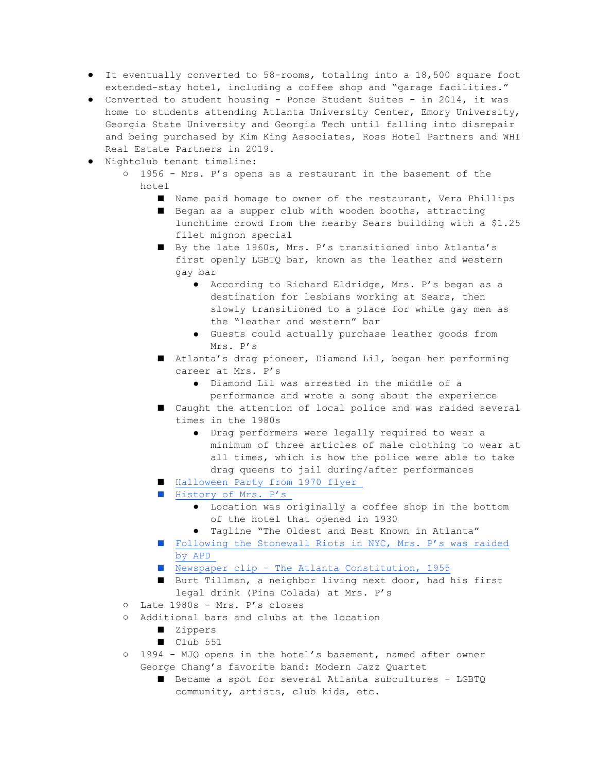- It eventually converted to 58-rooms, totaling into a 18,500 square foot extended-stay hotel, including a coffee shop and "garage facilities."
- Converted to student housing Ponce Student Suites in 2014, it was home to students attending Atlanta University Center, Emory University, Georgia State University and Georgia Tech until falling into disrepair and being purchased by Kim King Associates, Ross Hotel Partners and WHI Real Estate Partners in 2019.
- Nightclub tenant timeline:
	- 1956 Mrs. P's opens as a restaurant in the basement of the hotel
		- Name paid homage to owner of the restaurant, Vera Phillips
		- Began as a supper club with wooden booths, attracting lunchtime crowd from the nearby Sears building with a \$1.25 filet mignon special
		- By the late 1960s, Mrs. P's transitioned into Atlanta's first openly LGBTQ bar, known as the leather and western gay bar
			- According to Richard Eldridge, Mrs. P's began as a destination for lesbians working at Sears, then slowly transitioned to a place for white gay men as the "leather and western" bar
			- Guests could actually purchase leather goods from Mrs. P's
		- Atlanta's drag pioneer, Diamond Lil, began her performing career at Mrs. P's
			- Diamond Lil was arrested in the middle of a performance and wrote a song about the experience
		- Caught the attention of local police and was raided several times in the 1980s
			- Drag performers were legally required to wear a minimum of three articles of male clothing to wear at all times, which is how the police were able to take drag queens to jail during/after performances
		- Halloween Party from 1970 flyer
		- History of Mrs. P's
			- Location was originally a coffee shop in the bottom of the hotel that opened in 1930
			- Tagline "The Oldest and Best Known in Atlanta"
		- Following the Stonewall Riots in NYC, Mrs. P's was raided [by APD](https://digitalcollections.library.gsu.edu/digital/collection/ajc/id/2745/)
		- [Newspaper clip The Atlanta Constitution, 1955](https://www.newspapers.com/clip/32186071/mrs-ps-hiring-for-waitstaff-in-dec/)
		- Burt Tillman, a neighbor living next door, had his first legal drink (Pina Colada) at Mrs. P's
	- Late 1980s Mrs. P's closes
	- Additional bars and clubs at the location
		- Zippers
		- Club 551
	- o 1994 MJQ opens in the hotel's basement, named after owner George Chang's favorite band: Modern Jazz Quartet
		- Became a spot for several Atlanta subcultures LGBTQ community, artists, club kids, etc.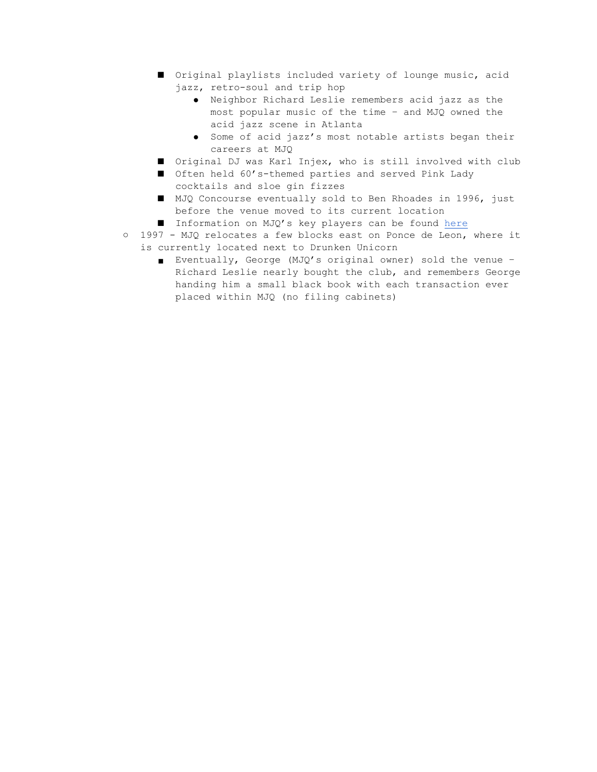- Original playlists included variety of lounge music, acid jazz, retro-soul and trip hop
	- Neighbor Richard Leslie remembers acid jazz as the most popular music of the time – and MJQ owned the acid jazz scene in Atlanta
	- Some of acid jazz's most notable artists began their careers at MJQ
- Original DJ was Karl Injex, who is still involved with club
- Often held 60's-themed parties and served Pink Lady cocktails and sloe gin fizzes
- MJQ Concourse eventually sold to Ben Rhoades in 1996, just before the venue moved to its current location
- Information on MJQ's key players can be found [here](https://creativeloafing.com/content-168333-late-night-magic-at-mjq-an-oral-history-part)
- 1997 MJQ relocates a few blocks east on Ponce de Leon, where it is currently located next to Drunken Unicorn
	- Eventually, George (MJQ's original owner) sold the venue -Richard Leslie nearly bought the club, and remembers George handing him a small black book with each transaction ever placed within MJQ (no filing cabinets)